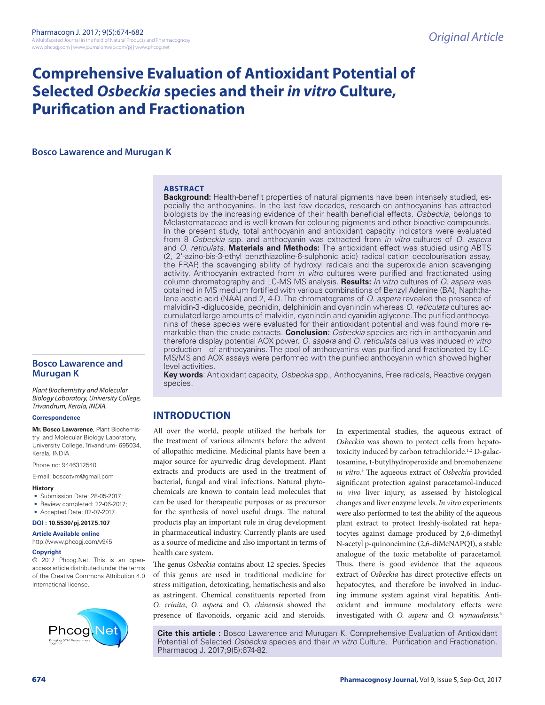# **Comprehensive Evaluation of Antioxidant Potential of Selected** *Osbeckia* **species and their** *in vitro* **Culture, Purification and Fractionation**

**Bosco Lawarence and Murugan K**

#### **ABSTRACT**

**Background:** Health-benefit properties of natural pigments have been intensely studied, especially the anthocyanins. In the last few decades, research on anthocyanins has attracted biologists by the increasing evidence of their health beneficial effects. *Osbeckia,* belongs to Melastomataceae and is well-known for colouring pigments and other bioactive compounds. In the present study, total anthocyanin and antioxidant capacity indicators were evaluated from 8 *Osbeckia* spp. and anthocyanin was extracted from *in vitro* cultures of *O. aspera* and *O. reticulata*. **Materials and Methods:** The antioxidant effect was studied using ABTS (2, 2'-azino-bis-3-ethyl benzthiazoline-6-sulphonic acid) radical cation decolourisation assay, the FRAP, the scavenging ability of hydroxyl radicals and the superoxide anion scavenging activity. Anthocyanin extracted from *in vitro* cultures were purified and fractionated using column chromatography and LC-MS MS analysis. **Results:** *In vitro* cultures of *O. aspera* was obtained in MS medium fortified with various combinations of Benzyl Adenine (BA), Naphthalene acetic acid (NAA) and 2, 4-D. The chromatograms of *O. aspera* revealed the presence of malvidin-3 -diglucoside, peonidin, delphinidin and cyanindin whereas *O. reticulata* cultures accumulated large amounts of malvidin, cyanindin and cyanidin aglycone. The purified anthocyanins of these species were evaluated for their antioxidant potential and was found more remarkable than the crude extracts. **Conclusion:** *Osbeckia* species are rich in anthocyanin and therefore display potential AOX power. *O. aspera* and *O. reticulata* callus was induced *in vitro*  production of anthocyanins. The pool of anthocyanins was purified and fractionated by LC-MS/MS and AOX assays were performed with the purified anthocyanin which showed higher level activities.

**Key words**: Antioxidant capacity, *Osbeckia* spp., Anthocyanins, Free radicals, Reactive oxygen species.

## **INTRODUCTION**

All over the world, people utilized the herbals for the treatment of various ailments before the advent of allopathic medicine. Medicinal plants have been a major source for ayurvedic drug development. Plant extracts and products are used in the treatment of bacterial, fungal and viral infections. Natural phytochemicals are known to contain lead molecules that can be used for therapeutic purposes or as precursor for the synthesis of novel useful drugs. The natural products play an important role in drug development in pharmaceutical industry. Currently plants are used as a source of medicine and also important in terms of health care system.

The genus *Osbeckia* contains about 12 species. Species of this genus are used in traditional medicine for stress mitigation, detoxicating, hematischesis and also as astringent. Chemical constituents reported from *O. crinita*, *O. aspera* and O*. chinensis* showed the presence of flavonoids, organic acid and steroids.

In experimental studies, the aqueous extract of *Osbeckia* was shown to protect cells from hepatotoxicity induced by carbon tetrachloride.<sup>1,2</sup> D-galactosamine, t-butylhydroperoxide and bromobenzene *in vitro.*<sup>3</sup> The aqueous extract of *Osbeckia* provided significant protection against paracetamol-induced *in vivo* liver injury, as assessed by histological changes and liver enzyme levels. *In vitro* experiments were also performed to test the ability of the aqueous plant extract to protect freshly-isolated rat hepatocytes against damage produced by 2,6-dimethyl N-acetyl p-quinoneimine (2,6-diMeNAPQI), a stable analogue of the toxic metabolite of paracetamol. Thus, there is good evidence that the aqueous extract of *Osbeckia* has direct protective effects on hepatocytes, and therefore be involved in inducing immune system against viral hepatitis. Antioxidant and immune modulatory effects were investigated with *O. aspera* and *O. wynaadensis.*4

**Cite this article :** Bosco Lawarence and Murugan K. Comprehensive Evaluation of Antioxidant Potential of Selected *Osbeckia* species and their *in vitro* Culture, Purification and Fractionation. Pharmacog J. 2017;9(5):674-82.

### **Bosco Lawarence and Murugan K**

*Plant Biochemistry and Molecular Biology Laboratory, University College, Trivandrum, Kerala, INDIA.*

#### **Correspondence**

**Mr. Bosco Lawarence**, Plant Biochemistry and Molecular Biology Laboratory, University College, Trivandrum- 695034, Kerala, INDIA.

Phone no: 9446312540

E-mail: boscotvm@gmail.com

#### **History**

- Submission Date: 28-05-2017;
- Review completed: 22-06-2017;
- Accepted Date: 02-07-2017

#### **DOI : 10.5530/pj.2017.5.107**

#### **Article Available online**

http://www.phcogj.com/v9/i5

#### **Copyright**

© 2017 Phcog.Net. This is an openaccess article distributed under the terms of the Creative Commons Attribution 4.0 International license.

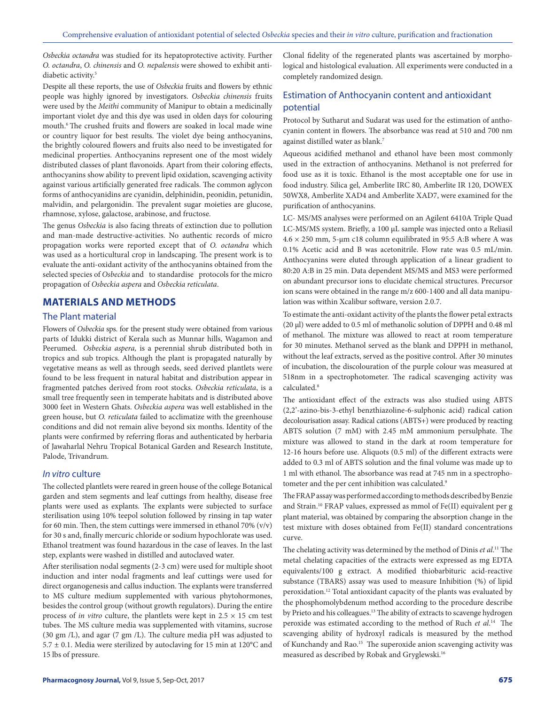*Osbeckia octandra* was studied for its hepatoprotective activity. Further *O. octandra*, *O. chinensis* and *O. nepalensis* were showed to exhibit antidiabetic activity.<sup>5</sup>

Despite all these reports, the use of *Osbeckia* fruits and flowers by ethnic people was highly ignored by investigators. *Osbeckia chinensis* fruits were used by the *Meithi* community of Manipur to obtain a medicinally important violet dye and this dye was used in olden days for colouring mouth.6 The crushed fruits and flowers are soaked in local made wine or country liquor for best results. The violet dye being anthocyanins, the brightly coloured flowers and fruits also need to be investigated for medicinal properties. Anthocyanins represent one of the most widely distributed classes of plant flavonoids. Apart from their coloring effects, anthocyanins show ability to prevent lipid oxidation, scavenging activity against various artificially generated free radicals. The common aglycon forms of anthocyanidins are cyanidin, delphinidin, peonidin, petunidin, malvidin, and pelargonidin. The prevalent sugar moieties are glucose, rhamnose, xylose, galactose, arabinose, and fructose.

The genus *Osbeckia* is also facing threats of extinction due to pollution and man-made destructive-activities. No authentic records of micro propagation works were reported except that of *O. octandra* which was used as a horticultural crop in landscaping. The present work is to evaluate the anti-oxidant activity of the anthocyanins obtained from the selected species of *Osbeckia* and to standardise protocols for the micro propagation of *Osbeckia aspera* and *Osbeckia reticulata*.

# **MATERIALS AND METHODS**

#### The Plant material

Flowers of *Osbeckia* sps. for the present study were obtained from various parts of Idukki district of Kerala such as Munnar hills, Wagamon and Peerumed. *Osbeckia aspera,* is a perennial shrub distributed both in tropics and sub tropics. Although the plant is propagated naturally by vegetative means as well as through seeds, seed derived plantlets were found to be less frequent in natural habitat and distribution appear in fragmented patches derived from root stocks. *Osbeckia reticulata*, is a small tree frequently seen in temperate habitats and is distributed above 3000 feet in Western Ghats. *Osbeckia aspera* was well established in the green house, but *O. reticulata* failed to acclimatize with the greenhouse conditions and did not remain alive beyond six months. Identity of the plants were confirmed by referring floras and authenticated by herbaria of Jawaharlal Nehru Tropical Botanical Garden and Research Institute, Palode, Trivandrum.

#### *In vitro* culture

The collected plantlets were reared in green house of the college Botanical garden and stem segments and leaf cuttings from healthy, disease free plants were used as explants. The explants were subjected to surface sterilisation using 10% teepol solution followed by rinsing in tap water for 60 min. Then, the stem cuttings were immersed in ethanol 70%  $(v/v)$ for 30 s and, finally mercuric chloride or sodium hypochlorate was used. Ethanol treatment was found hazardous in the case of leaves. In the last step, explants were washed in distilled and autoclaved water.

After sterilisation nodal segments (2-3 cm) were used for multiple shoot induction and inter nodal fragments and leaf cuttings were used for direct organogenesis and callus induction. The explants were transferred to MS culture medium supplemented with various phytohormones, besides the control group (without growth regulators). During the entire process of *in vitro* culture, the plantlets were kept in  $2.5 \times 15$  cm test tubes. The MS culture media was supplemented with vitamins, sucrose (30 gm /L), and agar (7 gm /L). The culture media pH was adjusted to  $5.7 \pm 0.1$ . Media were sterilized by autoclaving for 15 min at 120°C and 15 lbs of pressure.

Clonal fidelity of the regenerated plants was ascertained by morphological and histological evaluation. All experiments were conducted in a completely randomized design.

# Estimation of Anthocyanin content and antioxidant potential

Protocol by Sutharut and Sudarat was used for the estimation of anthocyanin content in flowers. The absorbance was read at 510 and 700 nm against distilled water as blank.7

Aqueous acidified methanol and ethanol have been most commonly used in the extraction of anthocyanins. Methanol is not preferred for food use as it is toxic. Ethanol is the most acceptable one for use in food industry. Silica gel, Amberlite IRC 80, Amberlite IR 120, DOWEX 50WX8, Amberlite XAD4 and Amberlite XAD7, were examined for the purification of anthocyanins.

LC- MS/MS analyses were performed on an Agilent 6410A Triple Quad LC-MS/MS system. Briefly, a 100 μL sample was injected onto a Reliasil  $4.6 \times 250$  mm, 5-µm c18 column equilibrated in 95:5 A:B where A was 0.1% Acetic acid and B was acetonitrile. Flow rate was 0.5 mL/min. Anthocyanins were eluted through application of a linear gradient to 80:20 A:B in 25 min. Data dependent MS/MS and MS3 were performed on abundant precursor ions to elucidate chemical structures. Precursor ion scans were obtained in the range m/z 600-1400 and all data manipulation was within Xcalibur software, version 2.0.7.

To estimate the anti-oxidant activity of the plants the flower petal extracts (20 μl) were added to 0.5 ml of methanolic solution of DPPH and 0.48 ml of methanol. The mixture was allowed to react at room temperature for 30 minutes. Methanol served as the blank and DPPH in methanol, without the leaf extracts, served as the positive control. After 30 minutes of incubation, the discolouration of the purple colour was measured at 518nm in a spectrophotometer. The radical scavenging activity was calculated.<sup>8</sup>

The antioxidant effect of the extracts was also studied using ABTS (2,2'-azino-bis-3-ethyl benzthiazoline-6-sulphonic acid) radical cation decolourisation assay. Radical cations (ABTS+) were produced by reacting ABTS solution (7 mM) with 2.45 mM ammonium persulphate. The mixture was allowed to stand in the dark at room temperature for 12-16 hours before use. Aliquots (0.5 ml) of the different extracts were added to 0.3 ml of ABTS solution and the final volume was made up to 1 ml with ethanol. The absorbance was read at 745 nm in a spectrophotometer and the per cent inhibition was calculated.<sup>9</sup>

The FRAP assay was performed according to methods described by Benzie and Strain.10 FRAP values, expressed as mmol of Fe(II) equivalent per g plant material, was obtained by comparing the absorption change in the test mixture with doses obtained from Fe(II) standard concentrations curve.

The chelating activity was determined by the method of Dinis *et al*. 11 The metal chelating capacities of the extracts were expressed as mg EDTA equivalents/100 g extract. A modified thiobarbituric acid-reactive substance (TBARS) assay was used to measure Inhibition (%) of lipid peroxidation.12 Total antioxidant capacity of the plants was evaluated by the phosphomolybdenum method according to the procedure describe by Prieto and his colleagues.13 The ability of extracts to scavenge hydrogen peroxide was estimated according to the method of Ruch *et al*. 14 The scavenging ability of hydroxyl radicals is measured by the method of Kunchandy and Rao.15 The superoxide anion scavenging activity was measured as described by Robak and Gryglewski.16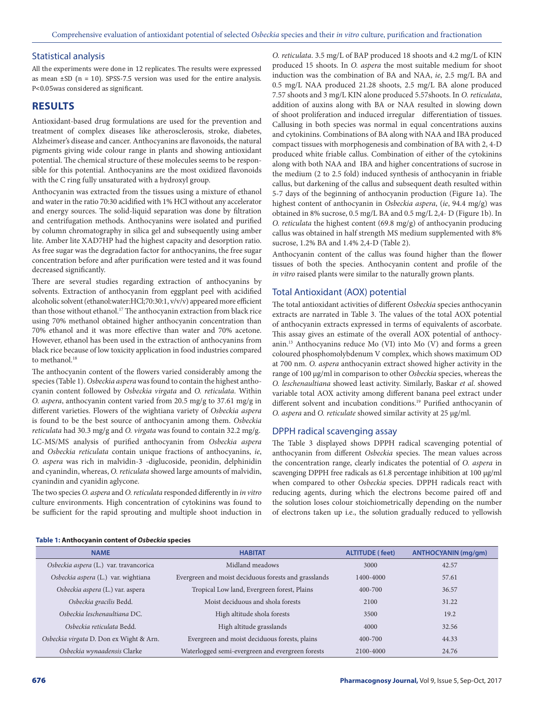#### Statistical analysis

All the experiments were done in 12 replicates. The results were expressed as mean  $\pm$ SD (n = 10). SPSS-7.5 version was used for the entire analysis. P<0.05was considered as significant.

#### **RESULTS**

Antioxidant-based drug formulations are used for the prevention and treatment of complex diseases like atherosclerosis, stroke, diabetes, Alzheimer's disease and cancer. Anthocyanins are flavonoids, the natural pigments giving wide colour range in plants and showing antioxidant potential. The chemical structure of these molecules seems to be responsible for this potential. Anthocyanins are the most oxidized flavonoids with the C ring fully unsaturated with a hydroxyl group.

Anthocyanin was extracted from the tissues using a mixture of ethanol and water in the ratio 70:30 acidified with 1% HCl without any accelerator and energy sources. The solid-liquid separation was done by filtration and centrifugation methods. Anthocyanins were isolated and purified by column chromatography in silica gel and subsequently using amber lite. Amber lite XAD7HP had the highest capacity and desorption ratio. As free sugar was the degradation factor for anthocyanins, the free sugar concentration before and after purification were tested and it was found decreased significantly.

There are several studies regarding extraction of anthocyanins by solvents. Extraction of anthocyanin from eggplant peel with acidified alcoholic solvent (ethanol:water:HCl;70:30:1, v/v/v) appeared more efficient than those without ethanol.<sup>17</sup> The anthocyanin extraction from black rice using 70% methanol obtained higher anthocyanin concentration than 70% ethanol and it was more effective than water and 70% acetone. However, ethanol has been used in the extraction of anthocyanins from black rice because of low toxicity application in food industries compared to methanol.<sup>18</sup>

The anthocyanin content of the flowers varied considerably among the species (Table 1). *Osbeckia aspera* was found to contain the highest anthocyanin content followed by *Osbeckia virgata* and *O. reticulata*. Within *O. aspera*, anthocyanin content varied from 20.5 mg/g to 37.61 mg/g in different varieties. Flowers of the wightiana variety of *Osbeckia aspera* is found to be the best source of anthocyanin among them. *Osbeckia reticulata* had 30.3 mg/g and *O. virgata* was found to contain 32.2 mg/g. LC-MS/MS analysis of purified anthocyanin from *Osbeckia aspera* and *Osbeckia reticulata* contain unique fractions of anthocyanins, *ie*, *O. aspera* was rich in malvidin-3 -diglucoside, peonidin, delphinidin and cyanindin, whereas, *O. reticulata* showed large amounts of malvidin, cyanindin and cyanidin aglycone.

The two species *O. aspera* and *O. reticulata* responded differently in *in vitro* culture environments. High concentration of cytokinins was found to be sufficient for the rapid sprouting and multiple shoot induction in *O. reticulata*. 3.5 mg/L of BAP produced 18 shoots and 4.2 mg/L of KIN produced 15 shoots. In *O. aspera* the most suitable medium for shoot induction was the combination of BA and NAA, *ie*, 2.5 mg/L BA and 0.5 mg/L NAA produced 21.28 shoots, 2.5 mg/L BA alone produced 7.57 shoots and 3 mg/L KIN alone produced 5.57shoots. In *O. reticulata*, addition of auxins along with BA or NAA resulted in slowing down of shoot proliferation and induced irregular differentiation of tissues. Callusing in both species was normal in equal concentrations auxins and cytokinins. Combinations of BA along with NAA and IBA produced compact tissues with morphogenesis and combination of BA with 2, 4-D produced white friable callus. Combination of either of the cytokinins along with both NAA and IBA and higher concentrations of sucrose in the medium (2 to 2.5 fold) induced synthesis of anthocyanin in friable callus, but darkening of the callus and subsequent death resulted within 5-7 days of the beginning of anthocyanin production (Figure 1a). The highest content of anthocyanin in *Osbeckia aspera*, (*ie*, 94.4 mg/g) was obtained in 8% sucrose, 0.5 mg/L BA and 0.5 mg/L 2,4- D (Figure 1b). In *O. reticulata* the highest content (69.8 mg/g) of anthocyanin producing callus was obtained in half strength MS medium supplemented with 8% sucrose, 1.2% BA and 1.4% 2,4-D (Table 2).

Anthocyanin content of the callus was found higher than the flower tissues of both the species. Anthocyanin content and profile of the *in vitro* raised plants were similar to the naturally grown plants.

#### Total Antioxidant (AOX) potential

The total antioxidant activities of different *Osbeckia* species anthocyanin extracts are narrated in Table 3. The values of the total AOX potential of anthocyanin extracts expressed in terms of equivalents of ascorbate. This assay gives an estimate of the overall AOX potential of anthocyanin.13 Anthocyanins reduce Mo (VI) into Mo (V) and forms a green coloured phosphomolybdenum V complex, which shows maximum OD at 700 nm. *O. aspera* anthocyanin extract showed higher activity in the range of 100 µg/ml in comparison to other *Osbeckia* species, whereas the *O. leschenaultiana* showed least activity. Similarly, Baskar *et al*. showed variable total AOX activity among different banana peel extract under different solvent and incubation conditions.<sup>19</sup> Purified anthocyanin of *O. aspera* and *O. reticulate* showed similar activity at 25 µg/ml.

#### DPPH radical scavenging assay

The Table 3 displayed shows DPPH radical scavenging potential of anthocyanin from different *Osbeckia* species. The mean values across the concentration range, clearly indicates the potential of *O. aspera* in scavenging DPPH free radicals as 61.8 percentage inhibition at 100 µg/ml when compared to other *Osbeckia* species. DPPH radicals react with reducing agents, during which the electrons become paired off and the solution loses colour stoichiometrically depending on the number of electrons taken up i.e., the solution gradually reduced to yellowish

#### **Table 1: Anthocyanin content of** *Osbeckia* **species**

| <b>NAME</b>                             | <b>HABITAT</b>                                       | <b>ALTITUDE (feet)</b> | <b>ANTHOCYANIN (mg/gm)</b> |
|-----------------------------------------|------------------------------------------------------|------------------------|----------------------------|
| Osbeckia aspera (L.) var. travancorica  | Midland meadows                                      | 3000                   | 42.57                      |
| Osbeckia aspera (L.) var. wightiana     | Evergreen and moist deciduous forests and grasslands | 1400-4000              | 57.61                      |
| Osbeckia aspera (L.) var. aspera        | Tropical Low land, Evergreen forest, Plains          | $400 - 700$            | 36.57                      |
| Osbeckia gracilis Bedd.                 | Moist deciduous and shola forests                    | 2100                   | 31.22                      |
| Osbeckia leschenaultiana DC.            | High altitude shola forests                          | 3500                   | 19.2                       |
| Osbeckia reticulata Bedd.               | High altitude grasslands                             | 4000                   | 32.56                      |
| Osbeckia virgata D. Don ex Wight & Arn. | Evergreen and moist deciduous forests, plains        | $400 - 700$            | 44.33                      |
| Osbeckia wynaadensis Clarke             | Waterlogged semi-evergreen and evergreen forests     | 2100-4000              | 24.76                      |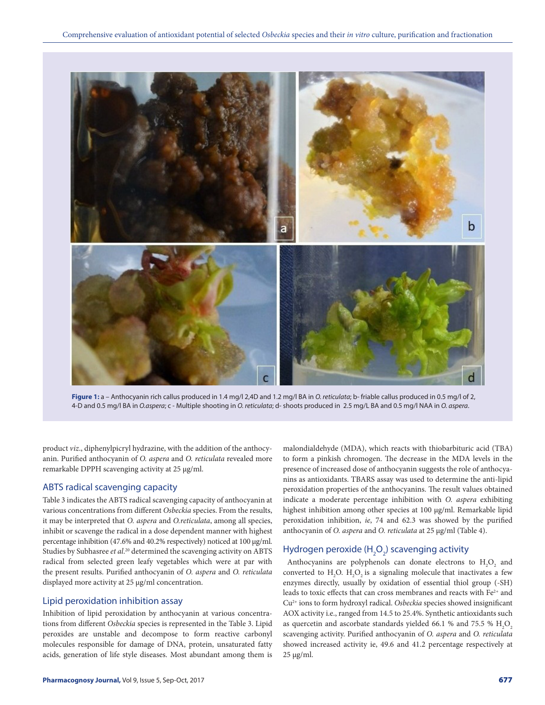

**Figure 1:** a – Anthocyanin rich callus produced in 1.4 mg/l 2,4D and 1.2 mg/l BA in *O. reticulata*; b- friable callus produced in 0.5 mg/l of 2, 4-D and 0.5 mg/l BA in *O.aspera*; c - Multiple shooting in *O. reticulata*; d- shoots produced in 2.5 mg/L BA and 0.5 mg/l NAA in *O. aspera*.

product *viz*., diphenylpicryl hydrazine, with the addition of the anthocyanin. Purified anthocyanin of *O. aspera* and *O. reticulata* revealed more remarkable DPPH scavenging activity at 25 µg/ml.

#### ABTS radical scavenging capacity

Table 3 indicates the ABTS radical scavenging capacity of anthocyanin at various concentrations from different *Osbeckia* species. From the results, it may be interpreted that *O. aspera* and *O.reticulata*, among all species, inhibit or scavenge the radical in a dose dependent manner with highest percentage inhibition (47.6% and 40.2% respectively) noticed at 100 µg/ml. Studies by Subhasree *et al*. 20 determined the scavenging activity on ABTS radical from selected green leafy vegetables which were at par with the present results. Purified anthocyanin of *O. aspera* and *O. reticulata* displayed more activity at 25 µg/ml concentration.

#### Lipid peroxidation inhibition assay

Inhibition of lipid peroxidation by anthocyanin at various concentrations from different *Osbeckia* species is represented in the Table 3. Lipid peroxides are unstable and decompose to form reactive carbonyl molecules responsible for damage of DNA, protein, unsaturated fatty acids, generation of life style diseases. Most abundant among them is

malondialdehyde (MDA), which reacts with thiobarbituric acid (TBA) to form a pinkish chromogen. The decrease in the MDA levels in the presence of increased dose of anthocyanin suggests the role of anthocyanins as antioxidants. TBARS assay was used to determine the anti-lipid peroxidation properties of the anthocyanins. The result values obtained indicate a moderate percentage inhibition with *O. aspera* exhibiting highest inhibition among other species at 100 µg/ml. Remarkable lipid peroxidation inhibition, *ie*, 74 and 62.3 was showed by the purified anthocyanin of *O. aspera* and *O. reticulata* at 25 µg/ml (Table 4).

# Hydrogen peroxide (H $_{\textrm{\tiny{2}}}$ O $_{\textrm{\tiny{2}}}$ ) scavenging activity

Anthocyanins are polyphenols can donate electrons to  $H_2O_2$  and converted to  $H_2O$ .  $H_2O_2$  is a signaling molecule that inactivates a few enzymes directly, usually by oxidation of essential thiol group (‐SH) leads to toxic effects that can cross membranes and reacts with Fe<sup>2+</sup> and Cu2+ ions to form hydroxyl radical. *Osbeckia* species showed insignificant AOX activity i.e., ranged from 14.5 to 25.4%. Synthetic antioxidants such as quercetin and ascorbate standards yielded 66.1 % and 75.5 %  ${\rm H_2O}_2$ scavenging activity. Purified anthocyanin of *O. aspera* and *O. reticulata* showed increased activity ie, 49.6 and 41.2 percentage respectively at  $25 \mu g/ml$ .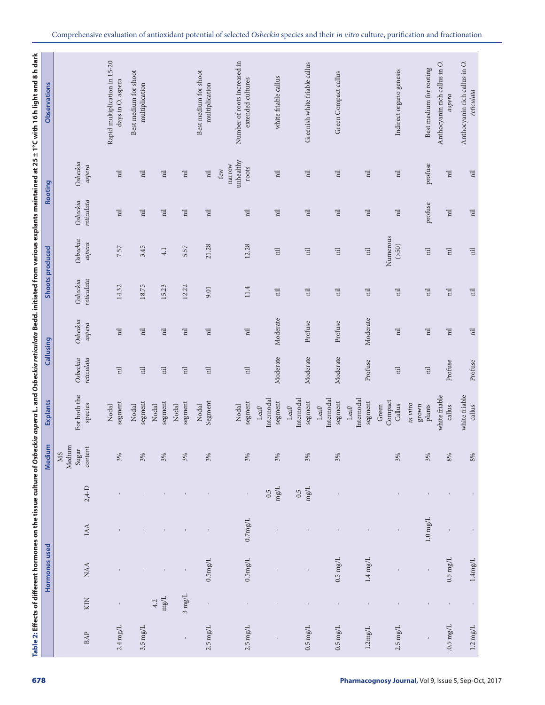|                             |                     | Hormones used        |                      |                   | Medium                                           | Explants                                        |                          | Callusing                |                          | Shoots produced          |                          | Rooting                             | Observations                                      |
|-----------------------------|---------------------|----------------------|----------------------|-------------------|--------------------------------------------------|-------------------------------------------------|--------------------------|--------------------------|--------------------------|--------------------------|--------------------------|-------------------------------------|---------------------------------------------------|
| $\ensuremath{\mathsf{BAP}}$ | KIN                 | <b>NAA</b>           | IAA                  | $2.4-D$           | Medium<br>$\mbox{content}$<br>Sugar<br><b>NS</b> | For both the<br>species                         | reticulata<br>Osbeckia   | Osbeckia<br>aspera       | reticulata<br>Osbeckia   | Osbeckia<br>aspera       | reticulata<br>Osbeckia   | Osbeckia<br>aspera                  |                                                   |
|                             |                     |                      |                      |                   |                                                  | Nodal                                           |                          |                          |                          |                          |                          |                                     | Rapid multiplication in 15-20                     |
| $2.4 \mathrm{mg/L}$         |                     |                      |                      |                   | 3%                                               | segment                                         | $\overline{\mathrm{n}}$  | $\overline{\rm nl}$      | 14.32                    | 7.57                     | $\overline{n}$           | $\overline{\mathrm{nl}}$            | days in O. aspera                                 |
| $3.5 \:\rm mg/L$            |                     |                      |                      |                   | 3%                                               | segment<br>Nodal                                | $\overline{\mathrm{n}}$  | $\overline{\mathrm{nl}}$ | 18.75                    | 3.45                     | $\overline{\mathrm{nl}}$ | $\overline{\rm nl}$                 | Best medium for shoot<br>multiplication           |
|                             | $\rm mg/L$<br>4.2   | $\,$ I               |                      |                   | 3%                                               | segment<br>Nodal                                | $\overline{\rm nl}$      | $\overline{\mathrm{n}}$  | 15.23                    | $4.1\,$                  | $\overline{\mathrm{n}}$  | $\overline{\mathrm{n}}$             |                                                   |
| $\mathbf{I}$                | $3 \mathrm{\,mg/L}$ | $\mathbf I$          |                      |                   | 3%                                               | segment<br>Nodal                                | $\overline{\mathrm{nl}}$ | $\overline{\mathrm{nl}}$ | 12.22                    | 5.57                     | $\overline{n}$           | $\overline{\mathrm{nl}}$            |                                                   |
| $2.5\:\mathrm{mg/L}$        | $\mathbf{I}$        | $0.5 \rm mg/L$       |                      |                   | 3%                                               | Segment<br>Nodal                                | $\overline{a}$           | $\overline{\mathrm{nl}}$ | 9.01                     | 21.28                    | $\overline{u}$           | $\overline{\rm nl}$                 | Best medium for shoot<br>multiplication           |
| $2.5\:\mathrm{mg/L}$        | $\mathbf{I}$        | $0.5 \rm mg/L$       | $0.7 \mathrm{mg/L}$  | $\mathbf{I}$      | 3%                                               | segment<br>Nodal                                | $\overline{\mathrm{nl}}$ | $\overline{\rm nl}$      | 11.4                     | 12.28                    | $\overline{\mathrm{nl}}$ | unhealthy<br>narrow<br>roots<br>few | Number of roots increased in<br>extended cultures |
|                             |                     |                      |                      | $\rm mg/L$<br>0.5 | 3%                                               | Internodal<br>segment<br>$\mbox{Leaf}$          | Moderate                 | Moderate                 | $\overline{n}$           | $\overline{\mathrm{nl}}$ | $\overline{\mathrm{nl}}$ | $\overline{\mathrm{nl}}$            | white friable callus                              |
| $0.5\:\mathrm{mg/L}$        | $\mathbf{I}$        | $\mathbf{I}$         |                      | $\rm mg/L$<br>0.5 | 3%                                               | Internodal<br>segment<br>Leaf                   | Moderate                 | Profuse                  | $\overline{n}$           | $\overline{\mathrm{nl}}$ | $\overline{\rm nl}$      | $\overline{\mathrm{nl}}$            | Greenish white friable callus                     |
| $0.5\:\mathrm{mg/L}$        | $\mathbf{I}$        | $0.5\;\mathrm{mg/L}$ |                      | $\,$              | 3%                                               | Internodal<br>segment<br>${\tt Left}$           | Moderate                 | Profuse                  | $\overline{\mathrm{nl}}$ | $\overline{\mathrm{n}}$  | $\overline{\mathrm{nl}}$ | $\overline{\mathrm{n}}$             | Green Compact callus                              |
| $1.2 \mathrm{mg/L}$         | $\mathsf{I}$        | $1.4 \; \rm{mg/L}$   | $\mathbf{I}$         |                   |                                                  | Internodal<br>segment<br>${\it Left}$           | Profuse                  | Moderate                 | $\overline{a}$           | $\overline{\rm nl}$      | $\overline{\rm nl}$      | $\overline{\mathrm{H}}$             |                                                   |
| $2.5\:\mathrm{mg/L}$        | $\mathbf{I}$        |                      |                      |                   | 3%                                               | Compact<br>Callus<br>Green                      | $\overline{n}$           | $\overline{a}$           | $\overline{n}$           | Numerous<br>(550)        | $\overline{\mathrm{nl}}$ | $\overline{\rm nl}$                 | Indirect organo genesis                           |
| $\mathbf{I}$                | $\mathbf{I}$        | $\mathbf I$          | $1.0\:\mathrm{mg/L}$ |                   | 3%                                               | in vitro<br>$_{\rm grown}$<br>$\mathbf{plants}$ | $\overline{\mathrm{nl}}$ | $\overline{\mathrm{nl}}$ | $\overline{\rm nl}$      | $\overline{\mathrm{nl}}$ | profuse                  | profuse                             | Best medium for rooting                           |
| $0.5\:\mathrm{mg/L}$        | $\mathbf{I}$        | $0.5\;\mathrm{mg/L}$ | $\mathbf I$          | $\mathsf{I}$      | $8\%$                                            | white friable<br>callus                         | Profuse                  | $\overline{\mathrm{n}}$  | $\overline{\rm nl}$      | $\overline{\rm nl}$      | $\overline{\mathrm{n}}$  | $\overline{\mathrm{n}}$             | Anthocyanin rich callus in O.<br>aspera           |
| $1.2 \text{ mg/L}$          | $\mathbf{I}$        | $1.4 \mathrm{mg/L}$  | $\mathbf{I}$         |                   | 8%                                               | white friable<br>callus                         | Profuse                  | $\overline{a}$           | $\overline{\mathrm{nl}}$ | $\overline{\rm nl}$      | $\overline{a}$           | $\overline{\mathrm{nl}}$            | Anthocyanin rich callus in O.<br>reticulata       |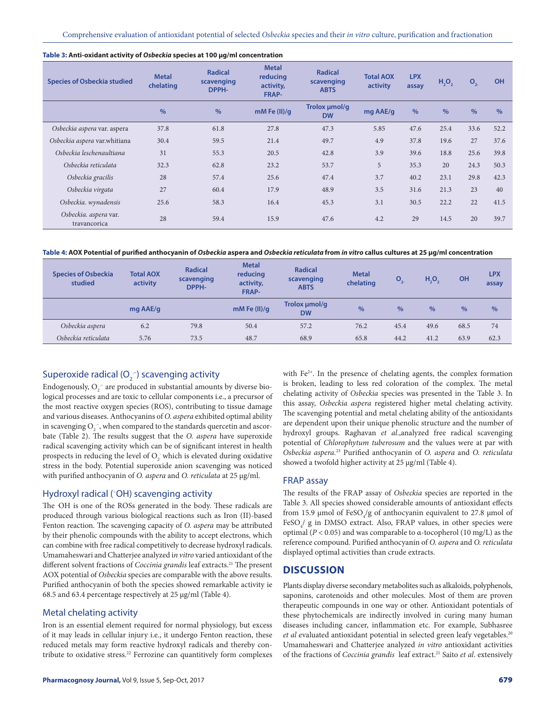| <b>Species of Osbeckia studied</b>    | <b>Metal</b><br>chelating | <b>Radical</b><br>scavenging<br>DPPH- | <b>Metal</b><br>reducing<br>activity,<br>FRAP- | <b>Radical</b><br>scavenging<br><b>ABTS</b> | <b>Total AOX</b><br>activity | <b>LPX</b><br>assay | $H_2O_2$      | O <sub>2</sub> | OH   |
|---------------------------------------|---------------------------|---------------------------------------|------------------------------------------------|---------------------------------------------|------------------------------|---------------------|---------------|----------------|------|
|                                       | $\frac{0}{0}$             | $\%$                                  | $mM$ Fe (II)/g                                 | Trolox µmol/g<br><b>DW</b>                  | mg AAE/g                     | $\frac{0}{0}$       | $\frac{0}{0}$ | $\frac{0}{0}$  | $\%$ |
| Osbeckia aspera var. aspera           | 37.8                      | 61.8                                  | 27.8                                           | 47.3                                        | 5.85                         | 47.6                | 25.4          | 33.6           | 52.2 |
| Osbeckia aspera var.whitiana          | 30.4                      | 59.5                                  | 21.4                                           | 49.7                                        | 4.9                          | 37.8                | 19.6          | 27             | 37.6 |
| Osbeckia leschenaultiana              | 31                        | 55.3                                  | 20.5                                           | 42.8                                        | 3.9                          | 39.6                | 18.8          | 25.6           | 39.8 |
| Osbeckia reticulata                   | 32.3                      | 62.8                                  | 23.2                                           | 53.7                                        | 5                            | 35.3                | 20            | 24.3           | 50.3 |
| Osbeckia gracilis                     | 28                        | 57.4                                  | 25.6                                           | 47.4                                        | 3.7                          | 40.2                | 23.1          | 29.8           | 42.3 |
| Osbeckia virgata                      | 27                        | 60.4                                  | 17.9                                           | 48.9                                        | 3.5                          | 31.6                | 21.3          | 23             | 40   |
| Osbeckia. wynadensis                  | 25.6                      | 58.3                                  | 16.4                                           | 45.3                                        | 3.1                          | 30.5                | 22.2          | 22             | 41.5 |
| Osbeckia. aspera var.<br>travancorica | 28                        | 59.4                                  | 15.9                                           | 47.6                                        | 4.2                          | 29                  | 14.5          | 20             | 39.7 |

#### **Table 3: Anti-oxidant activity of** *Osbeckia* **species at 100 µg/ml concentration**

**Table 4: AOX Potential of purified anthocyanin of** *Osbeckia* **aspera and** *Osbeckia reticulata* **from** *in vitro* **callus cultures at 25 µg/ml concentration**

| <b>Species of Osbeckia</b><br>studied | <b>Total AOX</b><br>activity | <b>Radical</b><br>scavenging<br>DPPH- | <b>Metal</b><br>reducing<br>activity,<br>FRAP- | <b>Radical</b><br>scavenging<br><b>ABTS</b> | <b>Metal</b><br>chelating | $\overline{O}_{2}$ | $H_2O_2$      | OH            | <b>LPX</b><br>assay |
|---------------------------------------|------------------------------|---------------------------------------|------------------------------------------------|---------------------------------------------|---------------------------|--------------------|---------------|---------------|---------------------|
|                                       | mg AAE/g                     |                                       | mM Fe $(II)/q$                                 | Trolox umol/g<br><b>DW</b>                  | $\%$                      | $\frac{9}{6}$      | $\frac{0}{0}$ | $\frac{9}{6}$ | $\%$                |
| Osbeckia aspera                       | 6.2                          | 79.8                                  | 50.4                                           | 57.2                                        | 76.2                      | 45.4               | 49.6          | 68.5          | 74                  |
| Osbeckia reticulata                   | 5.76                         | 73.5                                  | 48.7                                           | 68.9                                        | 65.8                      | 44.2               | 41.2          | 63.9          | 62.3                |

# Superoxide radical (O $_2^{\text{-}}$ ) scavenging activity

Endogenously,  $O_2^-$  are produced in substantial amounts by diverse biological processes and are toxic to cellular components i.e., a precursor of the most reactive oxygen species (ROS), contributing to tissue damage and various diseases. Anthocyanins of *O. aspera* exhibited optimal ability in scavenging  $O_2^-$ , when compared to the standards quercetin and ascorbate (Table 2). The results suggest that the *O. aspera* have superoxide radical scavenging activity which can be of significant interest in health prospects in reducing the level of  $O_2^-$  which is elevated during oxidative stress in the body. Potential superoxide anion scavenging was noticed with purified anthocyanin of *O. aspera* and *O. reticulata* at 25 µg/ml.

#### Hydroxyl radical (– OH) scavenging activity

The OH is one of the ROSs generated in the body. These radicals are produced through various biological reactions such as Iron (II)-based Fenton reaction. The scavenging capacity of *O. aspera* may be attributed by their phenolic compounds with the ability to accept electrons, which can combine with free radical competitively to decrease hydroxyl radicals. Umamaheswari and Chatterjee analyzed i*n vitro* varied antioxidant of the different solvent fractions of *Coccinia grandis* leaf extracts.<sup>21</sup> The present AOX potential of *Osbeckia* species are comparable with the above results. Purified anthocyanin of both the species showed remarkable activity ie 68.5 and 63.4 percentage respectively at 25 µg/ml (Table 4).

#### Metal chelating activity

Iron is an essential element required for normal physiology, but excess of it may leads in cellular injury i.e., it undergo Fenton reaction, these reduced metals may form reactive hydroxyl radicals and thereby contribute to oxidative stress.<sup>22</sup> Ferrozine can quantitively form complexes

with  $Fe<sup>2+</sup>$ . In the presence of chelating agents, the complex formation is broken, leading to less red coloration of the complex. The metal chelating activity of *Osbeckia* species was presented in the Table 3. In this assay, *Osbeckia aspera* registered higher metal chelating activity. The scavenging potential and metal chelating ability of the antioxidants are dependent upon their unique phenolic structure and the number of hydroxyl groups. Raghavan *et al*.,analyzed free radical scavenging potential of *Chlorophytum tuberosum* and the values were at par with *Osbeckia aspera.*<sup>23</sup> Purified anthocyanin of *O. aspera* and *O. reticulata* showed a twofold higher activity at 25 µg/ml (Table 4).

#### FRAP assay

The results of the FRAP assay of *Osbeckia* species are reported in the Table 3. All species showed considerable amounts of antioxidant effects from 15.9  $\mu$ mol of FeSO<sub>4</sub>/g of anthocyanin equivalent to 27.8  $\mu$ mol of FeSO<sub>4</sub>/ g in DMSO extract. Also, FRAP values, in other species were optimal (*P* < 0.05) and was comparable to α-tocopherol (10 mg/L) as the reference compound. Purified anthocyanin of *O. aspera* and *O. reticulata*  displayed optimal activities than crude extracts.

### **DISCUSSION**

Plants display diverse secondary metabolites such as alkaloids, polyphenols, saponins, carotenoids and other molecules. Most of them are proven therapeutic compounds in one way or other. Antioxidant potentials of these phytochemicals are indirectly involved in curing many human diseases including cancer, inflammation etc. For example, Subhasree et al evaluated antioxidant potential in selected green leafy vegetables.<sup>20</sup> Umamaheswari and Chatterjee analyzed *in vitro* antioxidant activities of the fractions of *Coccinia grandis* leaf extract.21 Saito *et al*. extensively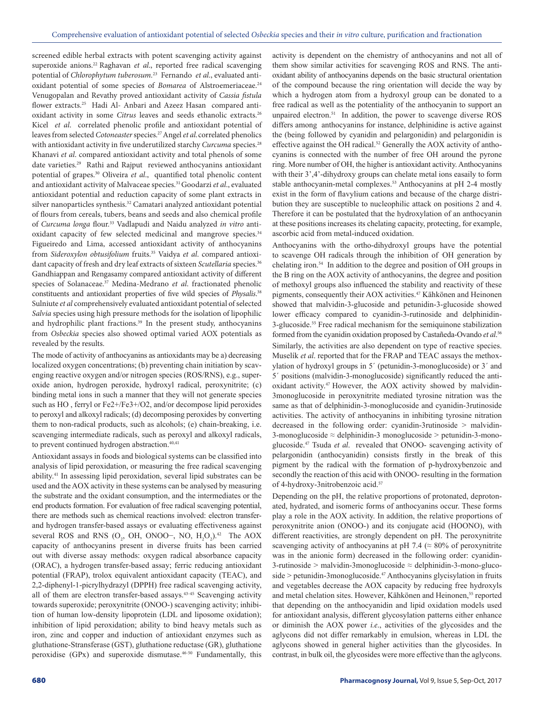screened edible herbal extracts with potent scavenging activity against superoxide anions.<sup>22</sup> Raghavan *et al.*, reported free radical scavenging potential of *Chlorophytum tuberosum.*23 Fernando *et al*., evaluated antioxidant potential of some species of *Bomarea* of Alstroemeriaceae.<sup>24</sup> Venugopalan and Revathy proved antioxidant activity of *Cassia fistula* flower extracts.<sup>25</sup> Hadi Al- Anbari and Azeez Hasan compared antioxidant activity in some *Citrus* leaves and seeds ethanolic extracts.<sup>26</sup> Kicel *et al*. correlated phenolic profile and antioxidant potential of leaves from selected *Cotoneaster* species.27 Angel *et al*.correlated phenolics with antioxidant activity in five underutilized starchy *Curcuma* species.<sup>28</sup> Khanavi *et al*. compared antioxidant activity and total phenols of some date varieties.29 Rathi and Rajput reviewed anthocyanins antioxidant potential of grapes.30 Oliveira *et al*., quantified total phenolic content and antioxidant activity of Malvaceae species.31 Goodarzi *et al*., evaluated antioxidant potential and reduction capacity of some plant extracts in silver nanoparticles synthesis.32 Camatari analyzed antioxidant potential of flours from cereals, tubers, beans and seeds and also chemical profile of *Curcuma longa* flour.33 Vadlapudi and Naidu analyzed *in vitro* antioxidant capacity of few selected medicinal and mangrove species.<sup>34</sup> Figueiredo and Lima, accessed antioxidant activity of anthocyanins from *Sideroxylon obtusifolium* fruits.35 Vaidya *et al*. compared antioxidant capacity of fresh and dry leaf extracts of sixteen *Scutellaria* species.<sup>36</sup> Gandhiappan and Rengasamy compared antioxidant activity of different species of Solanaceae.37 Medina-Medrano *et al*. fractionated phenolic constituents and antioxidant properties of five wild species of *Physalis*. 38 Sulniute *et al* comprehensively evaluated antioxidant potential of selected *Salvia* species using high pressure methods for the isolation of lipophilic and hydrophilic plant fractions.<sup>39</sup> In the present study, anthocyanins from *Osbeckia* species also showed optimal varied AOX potentials as revealed by the results.

The mode of activity of anthocyanins as antioxidants may be a) decreasing localized oxygen concentrations; (b) preventing chain initiation by scavenging reactive oxygen and/or nitrogen species (ROS/RNS), e.g., superoxide anion, hydrogen peroxide, hydroxyl radical, peroxynitrite; (c) binding metal ions in such a manner that they will not generate species such as HO , ferryl or Fe2+/Fe3+/O2, and/or decompose lipid peroxides to peroxyl and alkoxyl radicals; (d) decomposing peroxides by converting them to non-radical products, such as alcohols; (e) chain-breaking, i.e. scavenging intermediate radicals, such as peroxyl and alkoxyl radicals, to prevent continued hydrogen abstraction.<sup>40,41</sup>

Antioxidant assays in foods and biological systems can be classified into analysis of lipid peroxidation, or measuring the free radical scavenging ability.41 In assessing lipid peroxidation, several lipid substrates can be used and the AOX activity in these systems can be analysed by measuring the substrate and the oxidant consumption, and the intermediates or the end products formation. For evaluation of free radical scavenging potential, there are methods such as chemical reactions involved: electron transferand hydrogen transfer-based assays or evaluating effectiveness against several ROS and RNS ( $O_2$ , OH, ONOO–, NO,  $H_2O_2$ ).<sup>42</sup> The AOX capacity of anthocyanins present in diverse fruits has been carried out with diverse assay methods: oxygen radical absorbance capacity (ORAC), a hydrogen transfer-based assay; ferric reducing antioxidant potential (FRAP), trolox equivalent antioxidant capacity (TEAC), and 2,2-diphenyl-1-picrylhydrazyl (DPPH) free radical scavenging activity, all of them are electron transfer-based assays.43-45 Scavenging activity towards superoxide; peroxynitrite (ONOO-) scavenging activity; inhibition of human low-density lipoprotein (LDL and liposome oxidation); inhibition of lipid peroxidation; ability to bind heavy metals such as iron, zinc and copper and induction of antioxidant enzymes such as gluthatione-Stransferase (GST), gluthatione reductase (GR), gluthatione peroxidise (GPx) and superoxide dismutase.<sup>46-50</sup> Fundamentally, this

activity is dependent on the chemistry of anthocyanins and not all of them show similar activities for scavenging ROS and RNS. The antioxidant ability of anthocyanins depends on the basic structural orientation of the compound because the ring orientation will decide the way by which a hydrogen atom from a hydroxyl group can be donated to a free radical as well as the potentiality of the anthocyanin to support an unpaired electron.51 In addition, the power to scavenge diverse ROS differs among anthocyanins for instance, delphinidine is active against the (being followed by cyanidin and pelargonidin) and pelargonidin is effective against the OH radical.52 Generally the AOX activity of anthocyanins is connected with the number of free OH around the pyrone ring. More number of OH, the higher is antioxidant activity. Anthocyanins with their  $3^{\prime}$ , 4'-dihydroxy groups can chelate metal ions easaily to form stable anthocyanin-metal complexes.<sup>53</sup> Anthocyanins at pH 2-4 mostly exist in the form of flavylium cations and because of the charge distribution they are susceptible to nucleophilic attack on positions 2 and 4. Therefore it can be postulated that the hydroxylation of an anthocyanin at these positions increases its chelating capacity, protecting, for example, ascorbic acid from metal-induced oxidation.

Anthocyanins with the ortho-dihydroxyl groups have the potential to scavenge OH radicals through the inhibition of OH generation by chelating iron.54 In addition to the degree and position of OH groups in the B ring on the AOX activity of anthocyanins, the degree and position of methoxyl groups also influenced the stability and reactivity of these pigments, consequently their AOX activities.47 Kähkönen and Heinonen showed that malvidin-3-glucoside and petunidin-3-glucoside showed lower efficacy compared to cyanidin-3-rutinoside and delphinidin-3-glucoside.55 Free radical mechanism for the semiquinone stabilization formed from the cyanidin oxidation proposed by Castañeda-Ovando *et al*. 56 Similarly, the activities are also dependent on type of reactive species. Muselík *et al*. reported that for the FRAP and TEAC assays the methoxylation of hydroxyl groups in 5´ (petunidin-3-monoglucoside) or 3´ and 5´ positions (malvidin-3-monoglucoside) significantly reduced the antioxidant activity.47 However, the AOX activity showed by malvidin-3monoglucoside in peroxynitrite mediated tyrosine nitration was the same as that of delphinidin-3-monoglucoside and cyanidin-3rutinoside activities. The activity of anthocyanins in inhibiting tyrosine nitration decreased in the following order: cyanidin-3rutinoside > malvidin- $3$ -monoglucoside  $\approx$  delphinidin-3 monoglucoside  $>$  petunidin-3-monoglucoside.47 Tsuda *et al*. revealed that ONOO- scavenging activity of pelargonidin (anthocyanidin) consists firstly in the break of this pigment by the radical with the formation of p-hydroxybenzoic and secondly the reaction of this acid with ONOO- resulting in the formation of 4-hydroxy-3nitrobenzoic acid.<sup>57</sup>

Depending on the pH, the relative proportions of protonated, deprotonated, hydrated, and isomeric forms of anthocyanins occur. These forms play a role in the AOX activity. In addition, the relative proportions of peroxynitrite anion (ONOO-) and its conjugate acid (HOONO), with different reactivities, are strongly dependent on pH. The peroxynitrite scavenging activity of anthocyanins at pH 7.4 ( $\approx$  80% of peroxynitrite was in the anionic form) decreased in the following order: cyanidin-3-rutinoside > malvidin-3monoglucoside  $\approx$  delphinidin-3-mono-gluco $side$  > petunidin-3monoglucoside.<sup>47</sup> Anthocyanins glycisylation in fruits and vegetables decrease the AOX capacity by reducing free hydroxyls and metal chelation sites. However, Kähkönen and Heinonen,<sup>55</sup> reported that depending on the anthocyanidin and lipid oxidation models used for antioxidant analysis, different glycosylation patterns either enhance or diminish the AOX power *i.e*., activities of the glycosides and the aglycons did not differ remarkably in emulsion, whereas in LDL the aglycons showed in general higher activities than the glycosides. In contrast, in bulk oil, the glycosides were more effective than the aglycons.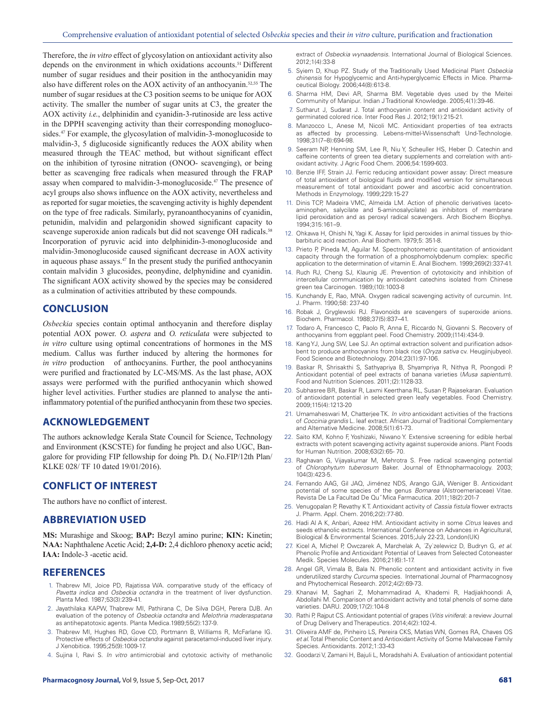Therefore, the *in vitro* effect of glycosylation on antioxidant activity also depends on the environment in which oxidations accounts.51 Different number of sugar residues and their position in the anthocyanidin may also have different roles on the AOX activity of an anthocyanin.52,55 The number of sugar residues at the C3 position seems to be unique for AOX activity. The smaller the number of sugar units at C3, the greater the AOX activity *i.e.*, delphinidin and cyanidin-3-rutinoside are less active in the DPPH scavenging activity than their corresponding monoglucosides.47 For example, the glycosylation of malvidin-3-monoglucoside to malvidin-3, 5 diglucoside significantly reduces the AOX ability when measured through the TEAC method, but without significant effect on the inhibition of tyrosine nitration (ONOO- scavenging), or being better as scavenging free radicals when measured through the FRAP assay when compared to malvidin-3-monoglucoside.<sup>47</sup> The presence of acyl groups also shows influence on the AOX activity, nevertheless and as reported for sugar moieties, the scavenging activity is highly dependent on the type of free radicals. Similarly, pyranoanthocyanins of cyanidin, petunidin, malvidin and pelargonidin showed significant capacity to scavenge superoxide anion radicals but did not scavenge OH radicals.<sup>58</sup> Incorporation of pyruvic acid into delphinidin-3-monoglucoside and malvidin-3monoglucoside caused significant decrease in AOX activity in aqueous phase assays.47 In the present study the purified anthocyanin contain malvidin 3 glucosides, peonydine, delphynidine and cyanidin. The significant AOX activity showed by the species may be considered as a culmination of activities attributed by these compounds.

# **CONCLUSION**

*Osbeckia* species contain optimal anthocyanin and therefore display potential AOX power. *O. aspera* and *O. reticulata* were subjected to *in vitro* culture using optimal concentrations of hormones in the MS medium. Callus was further induced by altering the hormones for *in vitro* production of anthocyanins. Further, the pool anthocyanins were purified and fractionated by LC-MS/MS. As the last phase, AOX assays were performed with the purified anthocyanin which showed higher level activities. Further studies are planned to analyse the antiinflammatory potential of the purified anthocyanin from these two species.

# **ACKNOWLEDGEMENT**

The authors acknowledge Kerala State Council for Science, Technology and Environment (KSCSTE) for funding he project and also UGC, Bangalore for providing FIP fellowship for doing Ph. D.( No.FIP/12th Plan/ KLKE 028/ TF 10 dated 19/01/2016).

#### **CONFLICT OF INTEREST**

The authors have no conflict of interest.

#### **ABBREVIATION USED**

**MS:** Murashige and Skoog; **BAP:** Bezyl amino purine; **KIN:** Kinetin; **NAA:** Naphthalene Acetic Acid; **2,4-D:** 2,4 dichloro phenoxy acetic acid; **IAA:** Indole-3 -acetic acid.

#### **REFERENCES**

- 1. Thabrew MI, Joice PD, Rajatissa WA. comparative study of the efficacy of *Pavetta indica* and *Osbeckia octandra* in the treatment of liver dysfunction. Planta Med. 1987;53(3):239-41.
- 2. Jayathilaka KAPW, Thabrew MI, Pathirana C, De Silva DGH, Perera DJB. An evaluation of the potency of *Osbeckia octandra* and *Melothria maderaspatana* as antihepatotoxic agents. Planta Medica.1989;55(2):137-9.
- 3. Thabrew MI, Hughes RD, Gove CD, Portmann B, Williams R, McFarlane IG. Protective effects of *Osbeckia octandra* against paracetamol-induced liver injury. J Xenobitica. 1995;25(9):1009-17.
- 4. Sujina I, Ravi S. *In vitro* antimicrobial and cytotoxic activity of methanolic

extract of *Osbeckia wynaadensis*. International Journal of Biological Sciences. 2012;1(4):33-8

- 5. Syiem D, Khup PZ. Study of the Traditionally Used Medicinal Plant *Osbeckia chinensis* for Hypoglycemic and Anti-hyperglycemic Effects in Mice. Pharmaceutical Biology. 2006;44(8):613-8.
- 6. Sharma HM, Devi AR, Sharma BM. Vegetable dyes used by the Meitei Community of Manipur. Indian J Traditional Knowledge. 2005;4(1):39-46.
- 7. Sutharut J, Sudarat J. Total anthocyanin content and antioxidant activity of germinated colored rice. Inter Food Res J. 2012;19(1):215-21.
- 8. Manzocco L, Anese M, Nicoli MC. Antioxidant properties of tea extracts as affected by processing. Lebens-mittel-Wissenschaft Und-Technologie. 1998;31(7–8):694-98.
- 9. Seeram NP, Henning SM, Lee R, Niu Y, Scheuller HS, Heber D. Catechin and caffeine contents of green tea dietary supplements and correlation with antioxidant activity. J Agric Food Chem. 2006;54:1599-603.
- 10. Benzie IFF, Strain JJ. Ferric reducing antioxidant power assay: Direct measure of total antioxidant of biological fluids and modified version for simultaneous measurement of total antioxidant power and ascorbic acid concentration. Methods in Enzymology. 1999;229:15-27
- 11. Dinis TCP, Madeira VMC, Almeida LM. Action of phenolic derivatives (acetoaminophen, salycilate and 5-aminosalycilate) as inhibitors of membrane lipid peroxidation and as peroxyl radical scavengers. Arch Biochem Biophys. 1994;315:161–9.
- 12. Ohkawa H, Ohishi N, Yagi K. Assay for lipid peroxides in animal tissues by thiobarbituric acid reaction. Anal Biochem. 1979;5: 351-8.
- 13. Prieto P, Pineda M, Aguilar M. Spectrophotometric quantitation of antioxidant capacity through the formation of a phosphomolybdenum complex: specific application to the determination of vitamin E. Anal Biochem. 1999;269(2):337-41.
- 14. Ruch RJ, Cheng SJ, Klaunig JE. Prevention of cytotoxicity and inhibition of intercellular communication by antioxidant catechins isolated from Chinese green tea Carcinogen. 1989;(10):1003-8
- 15. Kunchandy E, Rao, MNA. Oxygen radical scavenging activity of curcumin. Int. J. Pharm. 1990;58: 237-40
- 16. Robak J, Gryglewski RJ. Flavonoids are scavengers of superoxide anions. Biochem. Pharmacol. 1988;37(5):837–41.
- 17. Todaro A, Francesco C, Paolo R, Anna E, Riccardo N, Giovanni S. Recovery of anthocyanins from eggplant peel. Food Chemistry. 2009;(114):434-9.
- 18. Kang YJ, Jung SW, Lee SJ. An optimal extraction solvent and purification adsorbent to produce anthocyanins from black rice (*Oryza sativa* cv. Heugjinjubyeo). Food Science and Biotechnology. 2014;23(1):97-106.
- 19. Baskar R, Shrisakthi S, Sathyapriya B, Shyampriya R, Nithya R, Poongodi P. Antioxidant potential of peel extracts of banana varieties (*Musa sapientum*). Food and Nutrition Sciences. 2011;(2):1128-33.
- 20. Subhasree BR, Baskar R, Laxmi Keerthana RL, Susan P, Rajasekaran. Evaluation of antioxidant potential in selected green leafy vegetables. Food Chemistry. 2009;115(4):1213-20
- 21. Umamaheswari M, Chatterjee TK. *In vitro* antioxidant activities of the fractions of *Coccinia grandis* L. leaf extract. African Journal of Traditional Complementary and Alternative Medicine. 2008;5(1):61-73.
- 22. Saito KM, Kohno F, Yoshizaki, Niwano Y. Extensive screening for edible herbal extracts with potent scavenging activity against superoxide anions. Plant Foods for Human Nutrition. 2008;63(2):65- 70.
- 23. Raghavan G, Vijayakumar M, Mehrotra S. Free radical scavenging potential of *Chlorophytum tuberosum* Baker. Journal of Ethnopharmacology. 2003; 104(3):423-5.
- 24. Fernando AAG, Gil JAQ, Jiménez NDS, Arango GJA, Weniger B. Antioxidant potential of some species of the genus *Bomarea* (Alstroemeriaceae) Vitae. Revista De La Facultad De Qu˝Mica Farmacutica. 2011;18(2):201-7
- 25. Venugopalan P, Revathy K T. Antioxidant activity of *Cassia fistula* flower extracts J. Pharm. Appl. Chem. 2016;2(2):77-80.
- 26. Hadi Al A K, Anbari, Azeez HM. Antioxidant activity in some *Citrus* leaves and seeds ethanolic extracts. International Conference on Advances in Agricultural, Biological & Environmental Sciences. 2015;July 22-23, London(UK)
- 27. Kicel A, Michel P, Owczarek A, Marchelak A, ˙Zy˙zelewicz D, Budryn G, *et al*. Phenolic Profile and Antioxidant Potential of Leaves from Selected Cotoneaster Medik. Species Molecules. 2016;21(6):1-17.
- 28. Angel GR, Vimala B, Bala N. Phenolic content and antioxidant activity in five underutilized starchy *Curcuma* species. International Journal of Pharmacognosy and Phytochemical Research. 2012;4(2):69-73.
- 29. Khanavi M, Saghari Z, Mohammadirad A, Khademi R, Hadjiakhoondi A, Abdollahi M. Comparison of antioxidant activity and total phenols of some date varieties. DARU. 2009;17(2):104-8
- 30. Rathi P, Rajput CS. Antioxidant potential of grapes (*Vitis vinifera*): a review Journal of Drug Delivery and Therapeutics. 2014;4(2):102-4.
- 31. Oliveira AMF de, Pinheiro LS, Pereira CKS, Matias WN, Gomes RA, Chaves OS *et al*. Total Phenolic Content and Antioxidant Activity of Some Malvaceae Family Species. Antioxidants. 2012;1:33-43
- 32. Goodarzi V, Zamani H, Bajuli L, Moradshahi A. Evaluation of antioxidant potential